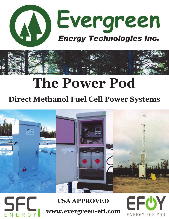



## **The Power Pod**

## **Direct Methanol Fuel Cell Power Systems**





SF